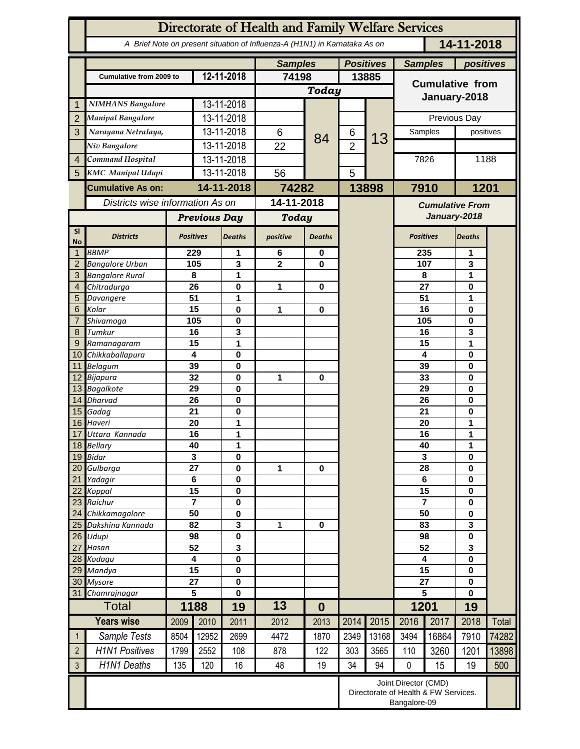|                        | Directorate of Health and Family Welfare Services                                        |                     |            |                          |                |                  |                  |                                                                              |                             |                   |               |           |  |
|------------------------|------------------------------------------------------------------------------------------|---------------------|------------|--------------------------|----------------|------------------|------------------|------------------------------------------------------------------------------|-----------------------------|-------------------|---------------|-----------|--|
|                        | 14-11-2018<br>A Brief Note on present situation of Influenza-A (H1N1) in Karnataka As on |                     |            |                          |                |                  |                  |                                                                              |                             |                   |               |           |  |
|                        |                                                                                          |                     |            |                          | <b>Samples</b> |                  | <b>Positives</b> |                                                                              | positives<br><b>Samples</b> |                   |               |           |  |
|                        | Cumulative from 2009 to                                                                  | 12-11-2018          |            | 74198                    |                | 13885            |                  | <b>Cumulative from</b>                                                       |                             |                   |               |           |  |
|                        |                                                                                          |                     |            | Today                    |                |                  |                  | January-2018                                                                 |                             |                   |               |           |  |
| 1                      | <b>NIMHANS Bangalore</b>                                                                 |                     | 13-11-2018 |                          |                |                  |                  |                                                                              |                             |                   |               |           |  |
| $\overline{2}$         | Manipal Bangalore                                                                        |                     |            | 13-11-2018               |                |                  |                  |                                                                              | Previous Day                |                   |               |           |  |
| 3                      | Narayana Netralaya,                                                                      |                     |            | 13-11-2018               | 6              | 84               | 6                | 13                                                                           |                             | Samples           |               | positives |  |
|                        | Niv Bangalore                                                                            |                     |            | 13-11-2018               | 22             |                  | $\overline{2}$   |                                                                              |                             |                   |               |           |  |
| $\overline{4}$         | Command Hospital                                                                         |                     |            | 13-11-2018               |                |                  |                  |                                                                              | 7826                        |                   | 1188          |           |  |
| 5                      | <b>KMC</b> Manipal Udupi                                                                 |                     | 13-11-2018 |                          | 56             |                  | 5                |                                                                              |                             |                   |               |           |  |
|                        | <b>Cumulative As on:</b>                                                                 |                     | 14-11-2018 |                          | 74282          |                  |                  | 13898                                                                        |                             | 7910<br>1201      |               |           |  |
|                        | Districts wise information As on                                                         |                     |            | 14-11-2018               |                |                  |                  | <b>Cumulative From</b><br>January-2018                                       |                             |                   |               |           |  |
|                        |                                                                                          | <b>Previous Day</b> |            | <b>Today</b>             |                |                  |                  |                                                                              |                             |                   |               |           |  |
| <b>SI</b><br><b>No</b> | <b>Districts</b>                                                                         | <b>Positives</b>    |            | <b>Deaths</b>            | positive       | <b>Deaths</b>    |                  |                                                                              | <b>Positives</b>            |                   | <b>Deaths</b> |           |  |
| 1                      | <b>BBMP</b>                                                                              |                     | 229        | 1                        | 6              | 0                |                  |                                                                              | 235                         |                   | 1             |           |  |
| 2                      | <b>Bangalore Urban</b>                                                                   |                     | 105<br>3   |                          | $\overline{2}$ | 0                |                  |                                                                              |                             | 107               | 3             |           |  |
| 3<br>$\overline{4}$    | <b>Bangalore Rural</b><br>Chitradurga                                                    |                     | 8<br>26    | 1<br>0                   | 1<br>0         |                  |                  |                                                                              |                             | 8<br>1<br>27<br>0 |               |           |  |
| 5                      | Davangere                                                                                |                     | 51         | 1                        |                |                  |                  |                                                                              | 51                          |                   | 1             |           |  |
| 6                      | Kolar                                                                                    |                     | 15         | 0                        | 1              | 0                |                  |                                                                              |                             | 16                | 0             |           |  |
| 7                      | Shivamoga                                                                                |                     | 105        | 0                        |                |                  |                  |                                                                              |                             | 105               | 0             |           |  |
| 8                      | Tumkur                                                                                   |                     | 16<br>15   | 3<br>1                   |                |                  |                  |                                                                              |                             | 16<br>15          | 3<br>1        |           |  |
| 9<br>10 <sup>°</sup>   | Ramanagaram<br>Chikkaballapura                                                           |                     | 4          | 0                        |                |                  |                  |                                                                              |                             | 4                 | 0             |           |  |
| 11                     | Belagum                                                                                  | 39                  |            | 0                        |                |                  |                  |                                                                              |                             | 39                | 0             |           |  |
|                        | 12 Bijapura                                                                              | 32                  |            | 0                        | 1              | 0                |                  |                                                                              |                             | 33                | 0             |           |  |
|                        | 13 Bagalkote                                                                             | 29                  |            | 0                        |                |                  |                  |                                                                              | 29                          |                   | 0             |           |  |
| 14                     | <b>Dharvad</b>                                                                           | 26<br>21            |            | 0<br>0                   |                |                  |                  |                                                                              | 26<br>21                    |                   | 0<br>0        |           |  |
| 15<br>16               | Gadag<br>Haveri                                                                          |                     | 20         | 1                        |                |                  |                  |                                                                              | 20                          |                   | 1             |           |  |
| 17                     | Uttara Kannada                                                                           |                     | 16         | 1                        |                |                  |                  |                                                                              | 16                          |                   | 1             |           |  |
| 18 <sup>1</sup>        | <b>Bellary</b>                                                                           |                     | 40         | 1                        |                |                  |                  |                                                                              | 40                          |                   | 1             |           |  |
|                        | 19 Bidar                                                                                 |                     | 3          | 0                        |                |                  |                  |                                                                              | $\overline{\mathbf{3}}$     |                   | 0             |           |  |
| 21                     | 20 Gulbarga<br>Yadagir                                                                   | 27<br>$\bf 6$       |            | $\pmb{0}$<br>$\pmb{0}$   | 1              | $\bf{0}$         |                  |                                                                              | 28<br>6                     |                   | 0<br>0        |           |  |
| 22                     | Koppal                                                                                   | 15                  |            | $\pmb{0}$                |                |                  |                  |                                                                              | 15                          |                   | 0             |           |  |
| 23                     | Raichur                                                                                  | $\overline{7}$      |            | $\pmb{0}$                |                |                  |                  |                                                                              | $\overline{\mathbf{7}}$     |                   | 0             |           |  |
| 24                     | Chikkamagalore                                                                           | 50                  |            | $\pmb{0}$                |                |                  |                  |                                                                              |                             | 50                |               |           |  |
| 25                     | Dakshina Kannada                                                                         | 82                  |            | 3                        | 1              | $\bf{0}$         |                  |                                                                              | 83<br>98                    |                   | 3             |           |  |
| 26<br>27               | Udupi<br>Hasan                                                                           | 98<br>52            |            | $\pmb{0}$<br>$\mathbf 3$ |                |                  |                  |                                                                              | 52                          |                   | 0<br>3        |           |  |
| 28                     | Kodagu                                                                                   | 4                   |            | $\pmb{0}$                |                |                  |                  |                                                                              |                             | 4                 |               |           |  |
| 29                     | Mandya                                                                                   | $\overline{15}$     |            | $\pmb{0}$                |                |                  |                  |                                                                              | $\overline{15}$             |                   | 0             |           |  |
|                        | 30 Mysore                                                                                | 27                  |            | $\pmb{0}$                |                |                  |                  |                                                                              | 27                          |                   | 0             |           |  |
| 31                     | Chamrajnagar                                                                             |                     | 5          | 0                        |                |                  |                  |                                                                              | 5<br>1201                   |                   | $\mathbf{0}$  |           |  |
|                        | <b>Total</b>                                                                             |                     | 1188       | 19                       | 13             | $\boldsymbol{0}$ |                  |                                                                              |                             |                   | 19            |           |  |
|                        | <b>Years wise</b>                                                                        | 2009                | 2010       | 2011                     | 2012           | 2013             | 2014             | 2015                                                                         | 2016                        | 2017              | 2018          | Total     |  |
| $\mathbf{1}$           | Sample Tests                                                                             | 8504                | 12952      | 2699                     | 4472           | 1870             | 2349             | 13168                                                                        | 3494                        | 16864             | 7910          | 74282     |  |
| $\overline{2}$         | <b>H1N1 Positives</b>                                                                    | 1799                | 2552       | 108                      | 878            | 122              | 303              | 3565                                                                         | 110                         | 3260              | 1201          | 13898     |  |
| $\mathfrak{Z}$         | H1N1 Deaths                                                                              | 135                 | 120        | 16                       | 48             | 19               | 34               | 94                                                                           | $\pmb{0}$                   | 15                | 19            | 500       |  |
|                        |                                                                                          |                     |            |                          |                |                  |                  | Joint Director (CMD)<br>Directorate of Health & FW Services.<br>Bangalore-09 |                             |                   |               |           |  |